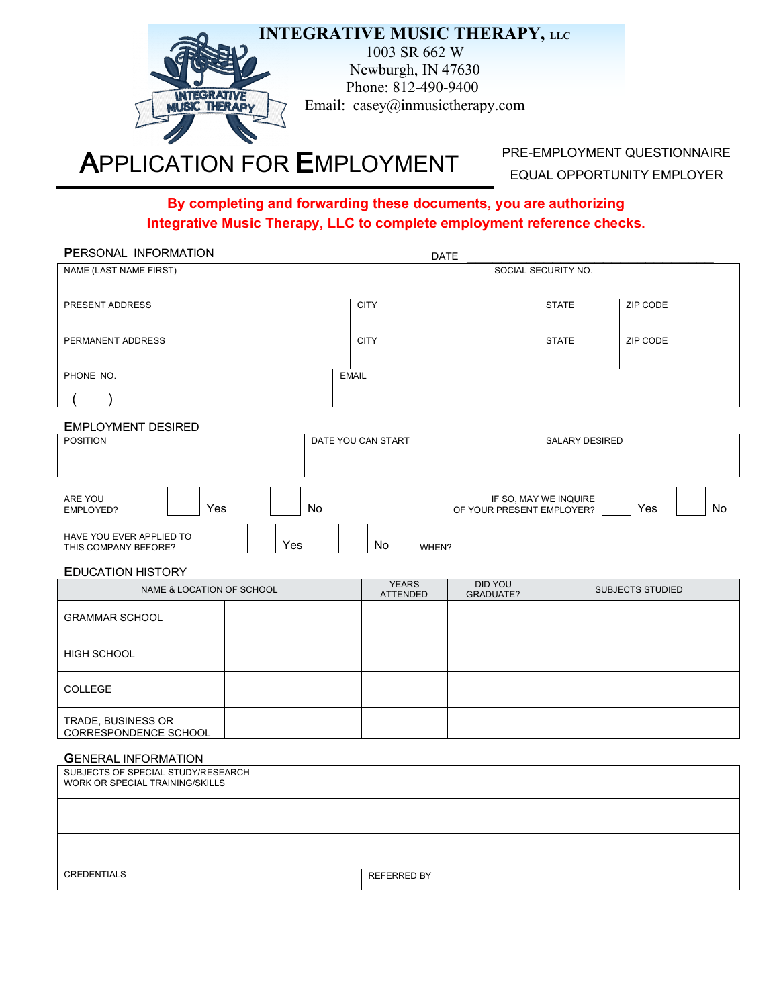

# **APPLICATION FOR EMPLOYMENT** PRE-EMPLOYMENT QUESTIONNAIRE

EQUAL OPPORTUNITY EMPLOYER

#### **By completing and forwarding these documents, you are authorizing Integrative Music Therapy, LLC to complete employment reference checks.**

| PERSONAL INFORMATION                                                  |                    |    |                                 | <b>DATE</b>                 |  |                                                    |                         |
|-----------------------------------------------------------------------|--------------------|----|---------------------------------|-----------------------------|--|----------------------------------------------------|-------------------------|
| NAME (LAST NAME FIRST)                                                |                    |    |                                 |                             |  | SOCIAL SECURITY NO.                                |                         |
| PRESENT ADDRESS                                                       |                    |    | <b>CITY</b>                     |                             |  | <b>STATE</b>                                       | ZIP CODE                |
|                                                                       |                    |    |                                 |                             |  |                                                    |                         |
| PERMANENT ADDRESS                                                     |                    |    | <b>CITY</b>                     |                             |  | <b>STATE</b>                                       | ZIP CODE                |
|                                                                       |                    |    |                                 |                             |  |                                                    |                         |
| PHONE NO.                                                             |                    |    | <b>EMAIL</b>                    |                             |  |                                                    |                         |
|                                                                       |                    |    |                                 |                             |  |                                                    |                         |
| <b>EMPLOYMENT DESIRED</b>                                             |                    |    |                                 |                             |  |                                                    |                         |
| <b>POSITION</b>                                                       |                    |    | DATE YOU CAN START              |                             |  | <b>SALARY DESIRED</b>                              |                         |
|                                                                       |                    |    |                                 |                             |  |                                                    |                         |
| ARE YOU<br>Yes<br>EMPLOYED?                                           |                    | No |                                 |                             |  | IF SO, MAY WE INQUIRE<br>OF YOUR PRESENT EMPLOYER? | <b>No</b><br>Yes        |
| HAVE YOU EVER APPLIED TO<br>THIS COMPANY BEFORE?                      | Yes<br>No<br>WHEN? |    |                                 |                             |  |                                                    |                         |
| <b>EDUCATION HISTORY</b>                                              |                    |    |                                 |                             |  |                                                    |                         |
| NAME & LOCATION OF SCHOOL                                             |                    |    | <b>YEARS</b><br><b>ATTENDED</b> | <b>DID YOU</b><br>GRADUATE? |  |                                                    | <b>SUBJECTS STUDIED</b> |
| <b>GRAMMAR SCHOOL</b>                                                 |                    |    |                                 |                             |  |                                                    |                         |
| HIGH SCHOOL                                                           |                    |    |                                 |                             |  |                                                    |                         |
| COLLEGE                                                               |                    |    |                                 |                             |  |                                                    |                         |
| TRADE, BUSINESS OR<br>CORRESPONDENCE SCHOOL                           |                    |    |                                 |                             |  |                                                    |                         |
| <b>GENERAL INFORMATION</b>                                            |                    |    |                                 |                             |  |                                                    |                         |
| SUBJECTS OF SPECIAL STUDY/RESEARCH<br>WORK OR SPECIAL TRAINING/SKILLS |                    |    |                                 |                             |  |                                                    |                         |
|                                                                       |                    |    |                                 |                             |  |                                                    |                         |
|                                                                       |                    |    |                                 |                             |  |                                                    |                         |
| <b>CREDENTIALS</b>                                                    |                    |    | <b>REFERRED BY</b>              |                             |  |                                                    |                         |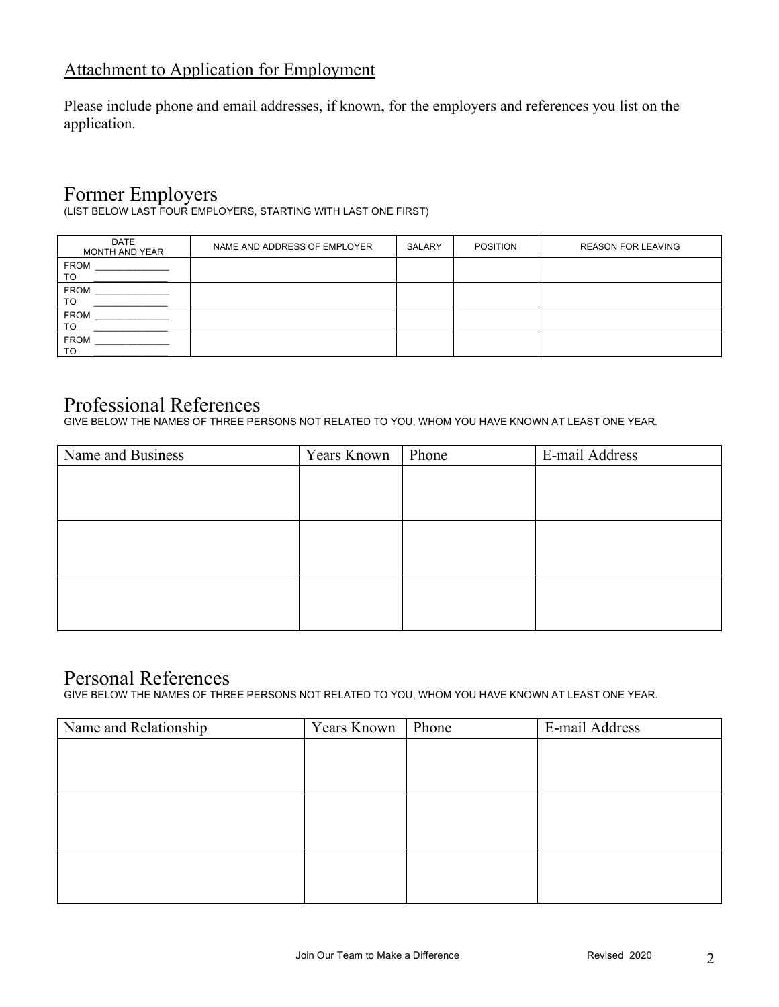#### Attachment to Application for Employment

Please include phone and email addresses, if known, for the employers and references you list on the application.

### Former Employers

(LIST BELOW LAST FOUR EMPLOYERS, STARTING WITH LAST ONE FIRST)

| <b>DATE</b><br>MONTH AND YEAR | NAME AND ADDRESS OF EMPLOYER | <b>SALARY</b> | <b>POSITION</b> | <b>REASON FOR LEAVING</b> |
|-------------------------------|------------------------------|---------------|-----------------|---------------------------|
| <b>FROM</b><br>TO             |                              |               |                 |                           |
| <b>FROM</b><br>TO             |                              |               |                 |                           |
| <b>FROM</b><br>TO             |                              |               |                 |                           |
| <b>FROM</b><br>TO             |                              |               |                 |                           |

#### Professional References

GIVE BELOW THE NAMES OF THREE PERSONS NOT RELATED TO YOU, WHOM YOU HAVE KNOWN AT LEAST ONE YEAR.

| Name and Business | Years Known | Phone | E-mail Address |
|-------------------|-------------|-------|----------------|
|                   |             |       |                |
|                   |             |       |                |
|                   |             |       |                |
|                   |             |       |                |
|                   |             |       |                |
|                   |             |       |                |
|                   |             |       |                |
|                   |             |       |                |
|                   |             |       |                |

## Personal References

GIVE BELOW THE NAMES OF THREE PERSONS NOT RELATED TO YOU, WHOM YOU HAVE KNOWN AT LEAST ONE YEAR.

| Name and Relationship | Years Known | Phone | E-mail Address |
|-----------------------|-------------|-------|----------------|
|                       |             |       |                |
|                       |             |       |                |
|                       |             |       |                |
|                       |             |       |                |
|                       |             |       |                |
|                       |             |       |                |
|                       |             |       |                |
|                       |             |       |                |
|                       |             |       |                |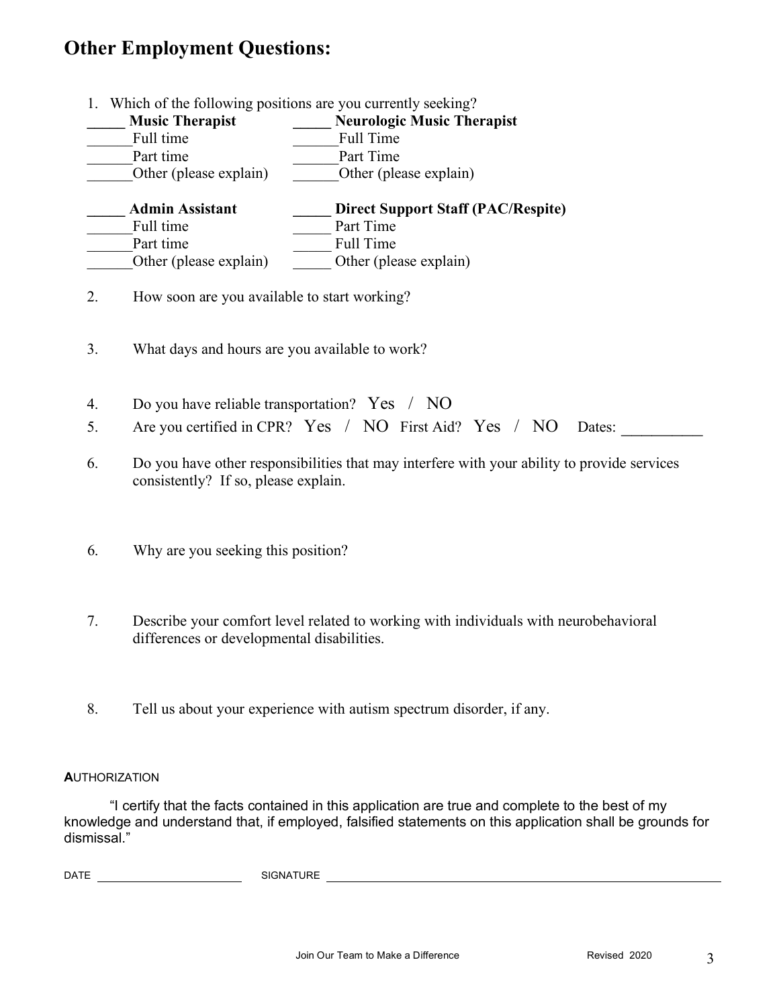## **Other Employment Questions:**

- 1. Which of the following positions are you currently seeking? **\_\_\_\_\_ Music Therapist \_\_\_\_\_ Neurologic Music Therapist** Full time **Example 2** Full Time Part time **Part Time** Other (please explain)  $\qquad \qquad$  Other (please explain) **\_\_\_\_\_ Admin Assistant \_\_\_\_\_ Direct Support Staff (PAC/Respite)** Full time **Depart Time** Part Time Part time Full Time Other (please explain)  $\qquad$  Other (please explain) 2. How soon are you available to start working? 3. What days and hours are you available to work? 4. Do you have reliable transportation? Yes / NO 5. Are you certified in CPR? Yes / NO First Aid? Yes / NO Dates:
- 6. Do you have other responsibilities that may interfere with your ability to provide services consistently? If so, please explain.
- 6. Why are you seeking this position?
- 7. Describe your comfort level related to working with individuals with neurobehavioral differences or developmental disabilities.
- 8. Tell us about your experience with autism spectrum disorder, if any.

#### **A**UTHORIZATION

"I certify that the facts contained in this application are true and complete to the best of my knowledge and understand that, if employed, falsified statements on this application shall be grounds for dismissal."

DATE SIGNATURE